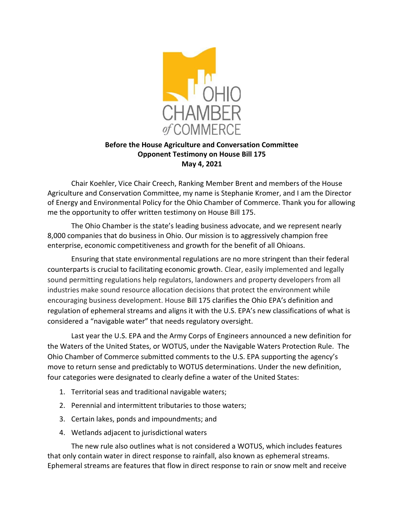

## Before the House Agriculture and Conversation Committee Opponent Testimony on House Bill 175 May 4, 2021

Chair Koehler, Vice Chair Creech, Ranking Member Brent and members of the House Agriculture and Conservation Committee, my name is Stephanie Kromer, and I am the Director of Energy and Environmental Policy for the Ohio Chamber of Commerce. Thank you for allowing me the opportunity to offer written testimony on House Bill 175.

The Ohio Chamber is the state's leading business advocate, and we represent nearly 8,000 companies that do business in Ohio. Our mission is to aggressively champion free enterprise, economic competitiveness and growth for the benefit of all Ohioans.

Ensuring that state environmental regulations are no more stringent than their federal counterparts is crucial to facilitating economic growth. Clear, easily implemented and legally sound permitting regulations help regulators, landowners and property developers from all industries make sound resource allocation decisions that protect the environment while encouraging business development. House Bill 175 clarifies the Ohio EPA's definition and regulation of ephemeral streams and aligns it with the U.S. EPA's new classifications of what is considered a "navigable water" that needs regulatory oversight.

 Last year the U.S. EPA and the Army Corps of Engineers announced a new definition for the Waters of the United States, or WOTUS, under the Navigable Waters Protection Rule. The Ohio Chamber of Commerce submitted comments to the U.S. EPA supporting the agency's move to return sense and predictably to WOTUS determinations. Under the new definition, four categories were designated to clearly define a water of the United States:

- 1. Territorial seas and traditional navigable waters;
- 2. Perennial and intermittent tributaries to those waters;
- 3. Certain lakes, ponds and impoundments; and
- 4. Wetlands adjacent to jurisdictional waters

The new rule also outlines what is not considered a WOTUS, which includes features that only contain water in direct response to rainfall, also known as ephemeral streams. Ephemeral streams are features that flow in direct response to rain or snow melt and receive